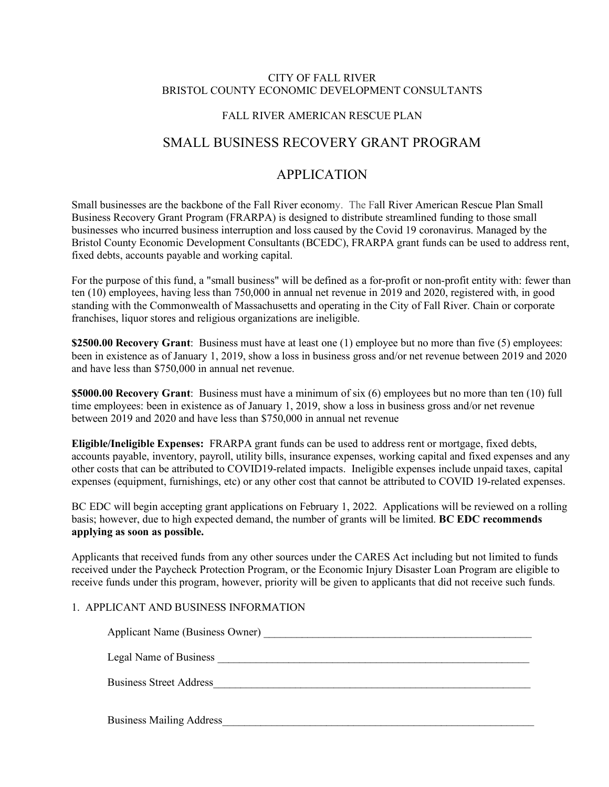#### CITY OF FALL RIVER BRISTOL COUNTY ECONOMIC DEVELOPMENT CONSULTANTS

### FALL RIVER AMERICAN RESCUE PLAN

# SMALL BUSINESS RECOVERY GRANT PROGRAM

# APPLICATION

Small businesses are the backbone of the Fall River economy. The Fall River American Rescue Plan Small Business Recovery Grant Program (FRARPA) is designed to distribute streamlined funding to those small businesses who incurred business interruption and loss caused by the Covid 19 coronavirus. Managed by the Bristol County Economic Development Consultants (BCEDC), FRARPA grant funds can be used to address rent, fixed debts, accounts payable and working capital.

For the purpose of this fund, a "small business" will be defined as a for-profit or non-profit entity with: fewer than ten (10) employees, having less than 750,000 in annual net revenue in 2019 and 2020, registered with, in good standing with the Commonwealth of Massachusetts and operating in the City of Fall River. Chain or corporate franchises, liquor stores and religious organizations are ineligible.

**\$2500.00 Recovery Grant**: Business must have at least one (1) employee but no more than five (5) employees: been in existence as of January 1, 2019, show a loss in business gross and/or net revenue between 2019 and 2020 and have less than \$750,000 in annual net revenue.

**\$5000.00 Recovery Grant**: Business must have a minimum of six (6) employees but no more than ten (10) full time employees: been in existence as of January 1, 2019, show a loss in business gross and/or net revenue between 2019 and 2020 and have less than \$750,000 in annual net revenue

**Eligible/Ineligible Expenses:** FRARPA grant funds can be used to address rent or mortgage, fixed debts, accounts payable, inventory, payroll, utility bills, insurance expenses, working capital and fixed expenses and any other costs that can be attributed to COVID19-related impacts. Ineligible expenses include unpaid taxes, capital expenses (equipment, furnishings, etc) or any other cost that cannot be attributed to COVID 19-related expenses.

BC EDC will begin accepting grant applications on February 1, 2022. Applications will be reviewed on a rolling basis; however, due to high expected demand, the number of grants will be limited. **BC EDC recommends applying as soon as possible.** 

Applicants that received funds from any other sources under the CARES Act including but not limited to funds received under the Paycheck Protection Program, or the Economic Injury Disaster Loan Program are eligible to receive funds under this program, however, priority will be given to applicants that did not receive such funds.

## 1. APPLICANT AND BUSINESS INFORMATION

| Applicant Name (Business Owner) |
|---------------------------------|
| Legal Name of Business          |
| <b>Business Street Address</b>  |
| <b>Business Mailing Address</b> |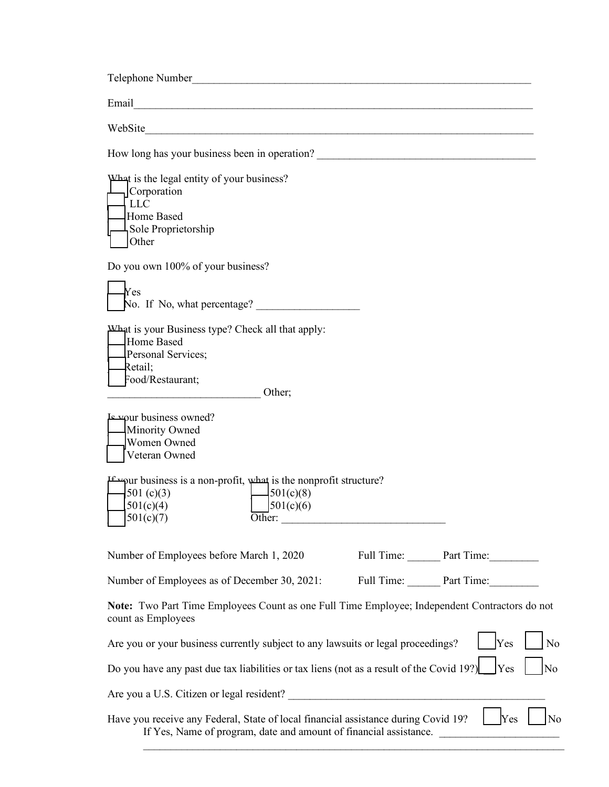| WebSite                                                                                                                                                 |                       |
|---------------------------------------------------------------------------------------------------------------------------------------------------------|-----------------------|
|                                                                                                                                                         |                       |
| What is the legal entity of your business?<br>Corporation<br>LLC<br>Home Based<br>Sole Proprietorship<br>Other                                          |                       |
| Do you own 100% of your business?                                                                                                                       |                       |
| $\gamma_{\rm es}$<br>No. If No, what percentage? $\frac{1}{\sqrt{1-\frac{1}{2}}}\left\lfloor \frac{1}{2} \right\rfloor$                                 |                       |
| AV hat is your Business type? Check all that apply:<br>Home Based<br>Personal Services;<br>Retail;<br>Food/Restaurant;<br>Other;                        |                       |
| <b>Expur business owned?</b><br>Minority Owned<br>Women Owned<br>Veteran Owned                                                                          |                       |
| perpur business is a non-profit, what is the nonprofit structure?<br>501(c)(8)<br>501 $(c)(3)$<br>501(c)(6)<br>501(c)(4)<br>501(c)(7)<br>Other:         |                       |
| Number of Employees before March 1, 2020                                                                                                                | Full Time: Part Time: |
| Number of Employees as of December 30, 2021:                                                                                                            | Full Time: Part Time: |
| Note: Two Part Time Employees Count as one Full Time Employee; Independent Contractors do not<br>count as Employees                                     |                       |
| Are you or your business currently subject to any lawsuits or legal proceedings?                                                                        | Yes<br>No             |
| Do you have any past due tax liabilities or tax liens (not as a result of the Covid 19?)                                                                | Yes<br>No             |
|                                                                                                                                                         |                       |
| Have you receive any Federal, State of local financial assistance during Covid 19?<br>If Yes, Name of program, date and amount of financial assistance. | Yes<br>No             |

 $\mathcal{L}_\text{max}$  and  $\mathcal{L}_\text{max}$  and  $\mathcal{L}_\text{max}$  and  $\mathcal{L}_\text{max}$  and  $\mathcal{L}_\text{max}$  and  $\mathcal{L}_\text{max}$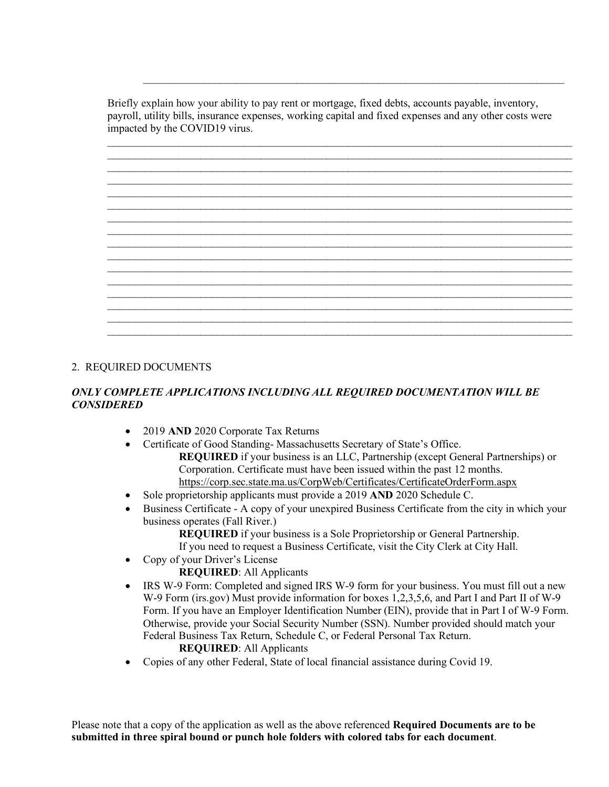Briefly explain how your ability to pay rent or mortgage, fixed debts, accounts payable, inventory, payroll, utility bills, insurance expenses, working capital and fixed expenses and any other costs were impacted by the COVID19 virus.

 $\_$  , and the set of the set of the set of the set of the set of the set of the set of the set of the set of the set of the set of the set of the set of the set of the set of the set of the set of the set of the set of th  $\_$  , and the set of the set of the set of the set of the set of the set of the set of the set of the set of the set of the set of the set of the set of the set of the set of the set of the set of the set of the set of th  $\_$  $\_$  , and the set of the set of the set of the set of the set of the set of the set of the set of the set of the set of the set of the set of the set of the set of the set of the set of the set of the set of the set of th  $\_$  , and the set of the set of the set of the set of the set of the set of the set of the set of the set of the set of the set of the set of the set of the set of the set of the set of the set of the set of the set of th  $\_$  , and the set of the set of the set of the set of the set of the set of the set of the set of the set of the set of the set of the set of the set of the set of the set of the set of the set of the set of the set of th  $\_$  , and the set of the set of the set of the set of the set of the set of the set of the set of the set of the set of the set of the set of the set of the set of the set of the set of the set of the set of the set of th  $\_$  , and the set of the set of the set of the set of the set of the set of the set of the set of the set of the set of the set of the set of the set of the set of the set of the set of the set of the set of the set of th  $\_$  , and the set of the set of the set of the set of the set of the set of the set of the set of the set of the set of the set of the set of the set of the set of the set of the set of the set of the set of the set of th  $\_$  , and the set of the set of the set of the set of the set of the set of the set of the set of the set of the set of the set of the set of the set of the set of the set of the set of the set of the set of the set of th  $\_$  , and the set of the set of the set of the set of the set of the set of the set of the set of the set of the set of the set of the set of the set of the set of the set of the set of the set of the set of the set of th  $\_$  , and the set of the set of the set of the set of the set of the set of the set of the set of the set of the set of the set of the set of the set of the set of the set of the set of the set of the set of the set of th  $\_$  , and the set of the set of the set of the set of the set of the set of the set of the set of the set of the set of the set of the set of the set of the set of the set of the set of the set of the set of the set of th  $\_$  , and the set of the set of the set of the set of the set of the set of the set of the set of the set of the set of the set of the set of the set of the set of the set of the set of the set of the set of the set of th  $\_$  , and the set of the set of the set of the set of the set of the set of the set of the set of the set of the set of the set of the set of the set of the set of the set of the set of the set of the set of the set of th  $\_$ 

 $\mathcal{L}_\text{max}$  , and the contribution of the contribution of the contribution of the contribution of the contribution of the contribution of the contribution of the contribution of the contribution of the contribution of t

## 2. REQUIRED DOCUMENTS

### *ONLY COMPLETE APPLICATIONS INCLUDING ALL REQUIRED DOCUMENTATION WILL BE CONSIDERED*

- 2019 **AND** 2020 Corporate Tax Returns
- Certificate of Good Standing-Massachusetts Secretary of State's Office. **REQUIRED** if your business is an LLC, Partnership (except General Partnerships) or Corporation. Certificate must have been issued within the past 12 months. <https://corp.sec.state.ma.us/CorpWeb/Certificates/CertificateOrderForm.aspx>
- Sole proprietorship applicants must provide a 2019 **AND** 2020 Schedule C.
- Business Certificate A copy of your unexpired Business Certificate from the city in which your business operates (Fall River.)

**REQUIRED** if your business is a Sole Proprietorship or General Partnership. If you need to request a Business Certificate, visit the City Clerk at City Hall.

- Copy of your Driver's License
	- **REQUIRED**: All Applicants
- IRS W-9 Form: Completed and signed IRS W-9 form for your business. You must fill out a new W-9 Form (irs.gov) Must provide information for boxes 1,2,3,5,6, and Part I and Part II of W-9 Form. If you have an Employer Identification Number (EIN), provide that in Part I of W-9 Form. Otherwise, provide your Social Security Number (SSN). Number provided should match your Federal Business Tax Return, Schedule C, or Federal Personal Tax Return. **REQUIRED**: All Applicants
- Copies of any other Federal, State of local financial assistance during Covid 19.

Please note that a copy of the application as well as the above referenced **Required Documents are to be submitted in three spiral bound or punch hole folders with colored tabs for each document**.